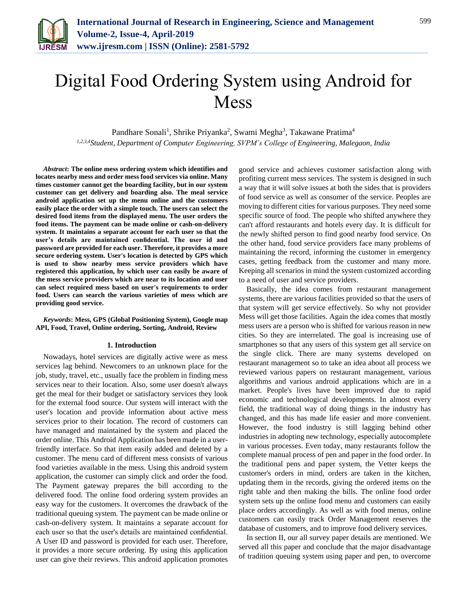

# Digital Food Ordering System using Android for Mess

Pandhare Sonali<sup>1</sup>, Shrike Priyanka<sup>2</sup>, Swami Megha<sup>3</sup>, Takawane Pratima<sup>4</sup> *1,2,3,4Student, Department of Computer Engineering, SVPM's College of Engineering, Malegaon, India*

*Abstract***: The online mess ordering system which identifies and locates nearby mess and order mess food services via online. Many times customer cannot get the boarding facility, but in our system customer can get delivery and boarding also. The meal service android application set up the menu online and the customers easily place the order with a simple touch. The users can select the desired food items from the displayed menu. The user orders the food items. The payment can be made online or cash-on-delivery system. It maintains a separate account for each user so that the user's details are maintained confidential. The user id and password are provided for each user. Therefore, it provides a more secure ordering system. User's location is detected by GPS which is used to show nearby mess service providers which have registered this application, by which user can easily be aware of the mess service providers which are near to its location and user can select required mess based on user's requirements to order food. Users can search the various varieties of mess which are providing good service.** 

#### *Keywords***: Mess, GPS (Global Positioning System), Google map API, Food, Travel, Online ordering, Sorting, Android, Review**

#### **1. Introduction**

Nowadays, hotel services are digitally active were as mess services lag behind. Newcomers to an unknown place for the job, study, travel, etc., usually face the problem in finding mess services near to their location. Also, some user doesn't always get the meal for their budget or satisfactory services they look for the external food source. Our system will interact with the user's location and provide information about active mess services prior to their location. The record of customers can have managed and maintained by the system and placed the order online. This Android Application has been made in a userfriendly interface. So that item easily added and deleted by a customer. The menu card of different mess consists of various food varieties available in the mess. Using this android system application, the customer can simply click and order the food. The Payment gateway prepares the bill according to the delivered food. The online food ordering system provides an easy way for the customers. It overcomes the drawback of the traditional queuing system. The payment can be made online or cash-on-delivery system. It maintains a separate account for each user so that the user's details are maintained confidential. A User ID and password is provided for each user. Therefore, it provides a more secure ordering. By using this application user can give their reviews. This android application promotes

good service and achieves customer satisfaction along with profiting current mess services. The system is designed in such a way that it will solve issues at both the sides that is providers of food service as well as consumer of the service. Peoples are moving to different cities for various purposes. They need some specific source of food. The people who shifted anywhere they can't afford restaurants and hotels every day. It is difficult for the newly shifted person to find good nearby food service. On the other hand, food service providers face many problems of maintaining the record, informing the customer in emergency cases, getting feedback from the customer and many more. Keeping all scenarios in mind the system customized according to a need of user and service providers.

Basically, the idea comes from restaurant management systems, there are various facilities provided so that the users of that system will get service effectively. So why not provider Mess will get those facilities. Again the idea comes that mostly mess users are a person who is shifted for various reason in new cities. So they are interrelated. The goal is increasing use of smartphones so that any users of this system get all service on the single click. There are many systems developed on restaurant management so to take an idea about all process we reviewed various papers on restaurant management, various algorithms and various android applications which are in a market. People's lives have been improved due to rapid economic and technological developments. In almost every field, the traditional way of doing things in the industry has changed, and this has made life easier and more convenient. However, the food industry is still lagging behind other industries in adopting new technology, especially autocomplete in various processes. Even today, many restaurants follow the complete manual process of pen and paper in the food order. In the traditional pens and paper system, the Vetter keeps the customer's orders in mind, orders are taken in the kitchen, updating them in the records, giving the ordered items on the right table and then making the bills. The online food order system sets up the online food menu and customers can easily place orders accordingly. As well as with food menus, online customers can easily track Order Management reserves the database of customers, and to improve food delivery services.

In section II, our all survey paper details are mentioned. We served all this paper and conclude that the major disadvantage of tradition queuing system using paper and pen, to overcome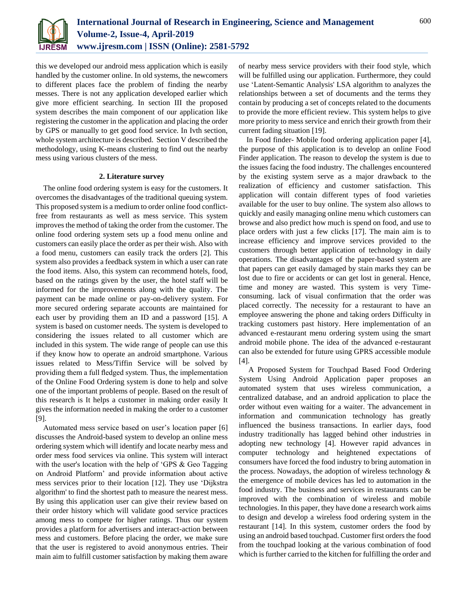

this we developed our android mess application which is easily handled by the customer online. In old systems, the newcomers to different places face the problem of finding the nearby messes. There is not any application developed earlier which give more efficient searching. In section III the proposed system describes the main component of our application like registering the customer in the application and placing the order by GPS or manually to get good food service. In Ivth section, whole system architecture is described. Section V described the methodology, using K-means clustering to find out the nearby mess using various clusters of the mess.

## **2. Literature survey**

The online food ordering system is easy for the customers. It overcomes the disadvantages of the traditional queuing system. This proposed system is a medium to order online food conflictfree from restaurants as well as mess service. This system improves the method of taking the order from the customer. The online food ordering system sets up a food menu online and customers can easily place the order as per their wish. Also with a food menu, customers can easily track the orders [2]. This system also provides a feedback system in which a user can rate the food items. Also, this system can recommend hotels, food, based on the ratings given by the user, the hotel staff will be informed for the improvements along with the quality. The payment can be made online or pay-on-delivery system. For more secured ordering separate accounts are maintained for each user by providing them an ID and a password [15]. A system is based on customer needs. The system is developed to considering the issues related to all customer which are included in this system. The wide range of people can use this if they know how to operate an android smartphone. Various issues related to Mess/Tiffin Service will be solved by providing them a full fledged system. Thus, the implementation of the Online Food Ordering system is done to help and solve one of the important problems of people. Based on the result of this research is It helps a customer in making order easily It gives the information needed in making the order to a customer [9].

Automated mess service based on user's location paper [6] discusses the Android-based system to develop an online mess ordering system which will identify and locate nearby mess and order mess food services via online. This system will interact with the user's location with the help of 'GPS & Geo Tagging on Android Platform' and provide information about active mess services prior to their location [12]. They use 'Dijkstra algorithm' to find the shortest path to measure the nearest mess. By using this application user can give their review based on their order history which will validate good service practices among mess to compete for higher ratings. Thus our system provides a platform for advertisers and interact-action between mess and customers. Before placing the order, we make sure that the user is registered to avoid anonymous entries. Their main aim to fulfill customer satisfaction by making them aware

of nearby mess service providers with their food style, which will be fulfilled using our application. Furthermore, they could use 'Latent-Semantic Analysis' LSA algorithm to analyzes the relationships between a set of documents and the terms they contain by producing a set of concepts related to the documents to provide the more efficient review. This system helps to give more priority to mess service and enrich their growth from their current fading situation [19].

In Food finder- Mobile food ordering application paper [4], the purpose of this application is to develop an online Food Finder application. The reason to develop the system is due to the issues facing the food industry. The challenges encountered by the existing system serve as a major drawback to the realization of efficiency and customer satisfaction. This application will contain different types of food varieties available for the user to buy online. The system also allows to quickly and easily managing online menu which customers can browse and also predict how much is spend on food, and use to place orders with just a few clicks [17]. The main aim is to increase efficiency and improve services provided to the customers through better application of technology in daily operations. The disadvantages of the paper-based system are that papers can get easily damaged by stain marks they can be lost due to fire or accidents or can get lost in general. Hence, time and money are wasted. This system is very Timeconsuming. lack of visual confirmation that the order was placed correctly. The necessity for a restaurant to have an employee answering the phone and taking orders Difficulty in tracking customers past history. Here implementation of an advanced e-restaurant menu ordering system using the smart android mobile phone. The idea of the advanced e-restaurant can also be extended for future using GPRS accessible module [4].

A Proposed System for Touchpad Based Food Ordering System Using Android Application paper proposes an automated system that uses wireless communication, a centralized database, and an android application to place the order without even waiting for a waiter. The advancement in information and communication technology has greatly influenced the business transactions. In earlier days, food industry traditionally has lagged behind other industries in adopting new technology [4]. However rapid advances in computer technology and heightened expectations of consumers have forced the food industry to bring automation in the process. Nowadays, the adoption of wireless technology & the emergence of mobile devices has led to automation in the food industry. The business and services in restaurants can be improved with the combination of wireless and mobile technologies. In this paper, they have done a research work aims to design and develop a wireless food ordering system in the restaurant [14]. In this system, customer orders the food by using an android based touchpad. Customer first orders the food from the touchpad looking at the various combination of food which is further carried to the kitchen for fulfilling the order and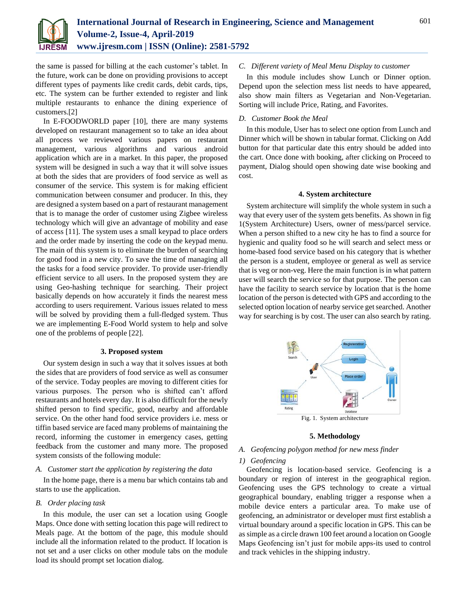

the same is passed for billing at the each customer's tablet. In the future, work can be done on providing provisions to accept different types of payments like credit cards, debit cards, tips, etc. The system can be further extended to register and link multiple restaurants to enhance the dining experience of customers.[2]

In E-FOODWORLD paper [10], there are many systems developed on restaurant management so to take an idea about all process we reviewed various papers on restaurant management, various algorithms and various android application which are in a market. In this paper, the proposed system will be designed in such a way that it will solve issues at both the sides that are providers of food service as well as consumer of the service. This system is for making efficient communication between consumer and producer. In this, they are designed a system based on a part of restaurant management that is to manage the order of customer using Zigbee wireless technology which will give an advantage of mobility and ease of access [11]. The system uses a small keypad to place orders and the order made by inserting the code on the keypad menu. The main of this system is to eliminate the burden of searching for good food in a new city. To save the time of managing all the tasks for a food service provider. To provide user-friendly efficient service to all users. In the proposed system they are using Geo-hashing technique for searching. Their project basically depends on how accurately it finds the nearest mess according to users requirement. Various issues related to mess will be solved by providing them a full-fledged system. Thus we are implementing E-Food World system to help and solve one of the problems of people [22].

## **3. Proposed system**

Our system design in such a way that it solves issues at both the sides that are providers of food service as well as consumer of the service. Today peoples are moving to different cities for various purposes. The person who is shifted can't afford restaurants and hotels every day. It is also difficult for the newly shifted person to find specific, good, nearby and affordable service. On the other hand food service providers i.e. mess or tiffin based service are faced many problems of maintaining the record, informing the customer in emergency cases, getting feedback from the customer and many more. The proposed system consists of the following module:

## *A. Customer start the application by registering the data*

In the home page, there is a menu bar which contains tab and starts to use the application.

## *B. Order placing task*

In this module, the user can set a location using Google Maps. Once done with setting location this page will redirect to Meals page. At the bottom of the page, this module should include all the information related to the product. If location is not set and a user clicks on other module tabs on the module load its should prompt set location dialog.

## *C. Different variety of Meal Menu Display to customer*

In this module includes show Lunch or Dinner option. Depend upon the selection mess list needs to have appeared, also show main filters as Vegetarian and Non-Vegetarian. Sorting will include Price, Rating, and Favorites.

## *D. Customer Book the Meal*

In this module, User has to select one option from Lunch and Dinner which will be shown in tabular format. Clicking on Add button for that particular date this entry should be added into the cart. Once done with booking, after clicking on Proceed to payment, Dialog should open showing date wise booking and cost.

#### **4. System architecture**

System architecture will simplify the whole system in such a way that every user of the system gets benefits. As shown in fig 1(System Architecture) Users, owner of mess/parcel service. When a person shifted to a new city he has to find a source for hygienic and quality food so he will search and select mess or home-based food service based on his category that is whether the person is a student, employee or general as well as service that is veg or non-veg. Here the main function is in what pattern user will search the service so for that purpose. The person can have the facility to search service by location that is the home location of the person is detected with GPS and according to the selected option location of nearby service get searched. Another way for searching is by cost. The user can also search by rating.



#### **5. Methodology**

## *A. Geofencing polygon method for new mess finder*

#### *1) Geofencing*

Geofencing is location-based service. Geofencing is a boundary or region of interest in the geographical region. Geofencing uses the GPS technology to create a virtual geographical boundary, enabling trigger a response when a mobile device enters a particular area. To make use of geofencing, an administrator or developer must first establish a virtual boundary around a specific location in GPS. This can be as simple as a circle drawn 100 feet around a location on Google Maps Geofencing isn't just for mobile apps-its used to control and track vehicles in the shipping industry.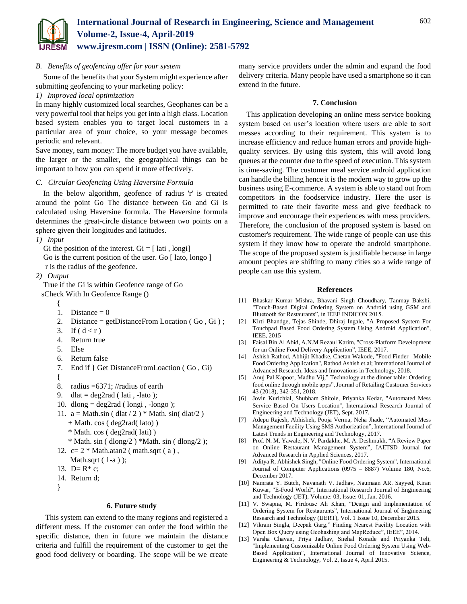

*B. Benefits of geofencing offer for your system*

Some of the benefits that your System might experience after submitting geofencing to your marketing policy:

## *1) Improved local optimization*

In many highly customized local searches, Geophanes can be a very powerful tool that helps you get into a high class. Location based system enables you to target local customers in a particular area of your choice, so your message becomes periodic and relevant.

Save money, earn money: The more budget you have available, the larger or the smaller, the geographical things can be important to how you can spend it more effectively.

## *C. Circular Geofencing Using Haversine Formula*

In the below algorithm, geofence of radius 'r' is created around the point Go The distance between Go and Gi is calculated using Haversine formula. The Haversine formula determines the great-circle distance between two points on a sphere given their longitudes and latitudes.

## *1) Input*

Gi the position of the interest.  $Gi = [lati, longi]$ Go is the current position of the user. Go [ lato, longo ] r is the radius of the geofence.

*2) Output*

True if the Gi is within Geofence range of Go sCheck With In Geofence Range ()

- {
- 1. Distance  $= 0$
- 2. Distance = getDistanceFrom Location  $(Go, Gi)$ ;
- 3. If  $(d < r)$
- 4. Return true
- 5. Else
- 6. Return false
- 7. End if } Get DistanceFromLoaction ( Go , Gi)
- {
- 8. radius =6371; //radius of earth
- 9. dlat = deg2rad ( lati, -lato);
- 10. dlong  $=$  deg2rad (longi, -longo);
- 11.  $a = Math.\sin( \frac{dlat}{2} )$  \* Math.  $\sin( \frac{dlat}{2} )$  + Math. cos ( deg2rad( lato) )
	- \* Math. cos ( deg2rad( lati) )
	- $*$  Math. sin (dlong/2)  $*$ Math. sin (dlong/2);
- 12.  $c= 2 * \text{Math}. \text{atan2} (\text{math}. \text{sqrt} (\text{a}),$
- Math.sqrt ( 1-a ) );
- 13. D= $R$ <sup>\*</sup> c;
- 14. Return d;
- }

## **6. Future study**

This system can extend to the many regions and registered a different mess. If the customer can order the food within the specific distance, then in future we maintain the distance criteria and fulfill the requirement of the customer to get the good food delivery or boarding. The scope will be we create

many service providers under the admin and expand the food delivery criteria. Many people have used a smartphone so it can extend in the future.

## **7. Conclusion**

This application developing an online mess service booking system based on user's location where users are able to sort messes according to their requirement. This system is to increase efficiency and reduce human errors and provide highquality services. By using this system, this will avoid long queues at the counter due to the speed of execution. This system is time-saving. The customer meal service android application can handle the billing hence it is the modern way to grow up the business using E-commerce. A system is able to stand out from competitors in the foodservice industry. Here the user is permitted to rate their favorite mess and give feedback to improve and encourage their experiences with mess providers. Therefore, the conclusion of the proposed system is based on customer's requirement. The wide range of people can use this system if they know how to operate the android smartphone. The scope of the proposed system is justifiable because in large amount peoples are shifting to many cities so a wide range of people can use this system.

## **References**

- [1] Bhaskar Kumar Mishra, Bhavani Singh Choudhary, Tanmay Bakshi, "Touch-Based Digital Ordering System on Android using GSM and Bluetooth for Restaurants", in IEEE INDICON 2015.
- [2] Kirti Bhandge, Tejas Shinde, Dhiraj Ingale, "A Proposed System For Touchpad Based Food Ordering System Using Android Application", IEEE, 2015
- [3] Faisal Bin Al Abid, A.N.M Rezaul Karim, "Cross-Platform Development for an Online Food Delivery Application", IEEE, 2017.
- [4] Ashish Rathod, Abhijit Khadke, Chetan Wakode, "Food Finder –Mobile Food Ordering Application", Rathod Ashish et.al; International Journal of Advanced Research, Ideas and Innovations in Technology, 2018.
- [5] Anuj Pal Kapoor, Madhu Vij," Technology at the dinner table: Ordering food online through mobile apps", Journal of Retailing Customer Services 43 (2018), 342-351, 2018.
- [6] Jovin Kurichial, Shubham Shitole, Priyanka Kedar, "Automated Mess Service Based On Users Location", International Research Journal of Engineering and Technology (JET), Sept. 2017.
- [7] Adepu Rajesh, Abhishek, Pooja Verma, Neha Jhade, "Automated Mess Management Facility Using SMS Authorization", International Journal of Latest Trends in Engineering and Technology, 2017.
- [8] Prof. N. M. Yawale, N. V. Pardakhe, M. A. Deshmukh, "A Review Paper on Online Restaurant Management System", IAETSD Journal for Advanced Research in Applied Sciences, 2017.
- [9] Aditya R, Abhishek Singh, "Online Food Ordering System", International Journal of Computer Applications (0975 – 8887) Volume 180, No.6, December 2017.
- [10] Namrata Y. Butch, Navanath V. Jadhav, Naumaan AR. Sayyed, Kiran Kuwar, "E-Food World", International Research Journal of Engineering and Technology (JET), Volume: 03, Issue: 01, Jan. 2016.
- [11] V. Swapna, M. Firdouse Ali Khan, "Design and Implementation of Ordering System for Restaurants", International Journal of Engineering Research and Technology (IJERT), Vol. 1 Issue 10, December 2015.
- [12] Vikram Singla, Deepak Garg," Finding Nearest Facility Location with Open Box Query using Geohashing and MapReduce", IEEE", 2014.
- [13] Varsha Chavan, Priya Jadhav, Snehal Korade and Priyanka Teli, "Implementing Customizable Online Food Ordering System Using Web-Based Application", International Journal of Innovative Science, Engineering & Technology, Vol. 2, Issue 4, April 2015.